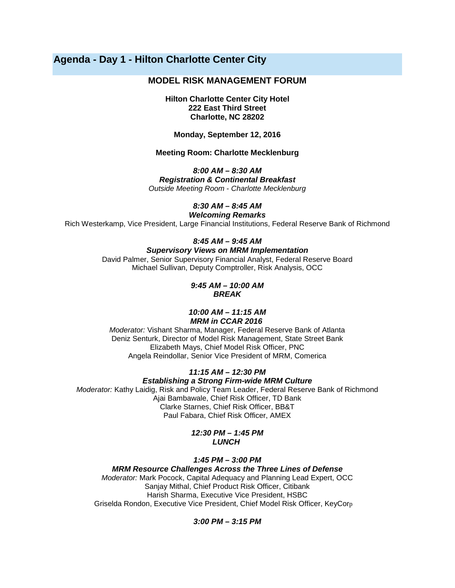# **Agenda - Day 1 - Hilton Charlotte Center City**

## **MODEL RISK MANAGEMENT FORUM**

**Hilton Charlotte Center City Hotel 222 East Third Street Charlotte, NC 28202**

#### **Monday, September 12, 2016**

### **Meeting Room: Charlotte Mecklenburg**

*8:00 AM – 8:30 AM Registration & Continental Breakfast*

*Outside Meeting Room - Charlotte Mecklenburg*

*8:30 AM – 8:45 AM*

*Welcoming Remarks*

Rich Westerkamp, Vice President, Large Financial Institutions, Federal Reserve Bank of Richmond

## *8:45 AM – 9:45 AM*

### *Supervisory Views on MRM Implementation*

David Palmer, Senior Supervisory Financial Analyst, Federal Reserve Board Michael Sullivan, Deputy Comptroller, Risk Analysis, OCC

> *9:45 AM – 10:00 AM BREAK*

#### *10:00 AM – 11:15 AM MRM in CCAR 2016*

*Moderator:* Vishant Sharma, Manager, Federal Reserve Bank of Atlanta Deniz Senturk, Director of Model Risk Management, State Street Bank Elizabeth Mays, Chief Model Risk Officer, PNC Angela Reindollar, Senior Vice President of MRM, Comerica

## *11:15 AM – 12:30 PM Establishing a Strong Firm-wide MRM Culture*

*Moderator:* Kathy Laidig, Risk and Policy Team Leader, Federal Reserve Bank of Richmond Ajai Bambawale, Chief Risk Officer, TD Bank Clarke Starnes, Chief Risk Officer, BB&T Paul Fabara, Chief Risk Officer, AMEX

#### *12:30 PM – 1:45 PM LUNCH*

### *1:45 PM – 3:00 PM*

*MRM Resource Challenges Across the Three Lines of Defense*

*Moderator:* Mark Pocock, Capital Adequacy and Planning Lead Expert, OCC Sanjay Mithal, Chief Product Risk Officer, Citibank Harish Sharma, Executive Vice President, HSBC Griselda Rondon, Executive Vice President, Chief Model Risk Officer, KeyCorp

### *3:00 PM – 3:15 PM*